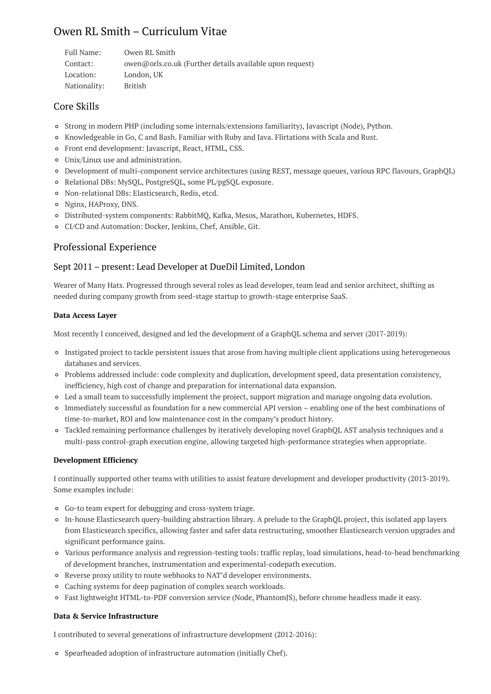# Owen RL Smith – Curriculum Vitae

| Full Name:   | Owen RL Smith                                            |
|--------------|----------------------------------------------------------|
| Contact:     | owen@orls.co.uk (Further details available upon request) |
| Location:    | London, UK                                               |
| Nationality: | British                                                  |

## Core Skills

- Strong in modern PHP (including some internals/extensions familiarity), Javascript (Node), Python.
- Knowledgeable in Go, C and Bash. Familiar with Ruby and Java. Flirtations with Scala and Rust.
- Front end development: Javascript, React, HTML, CSS.
- Unix/Linux use and administration.
- Development of multi-component service architectures (using REST, message queues, various RPC flavours, GraphQL)
- Relational DBs: MySQL, PostgreSQL, some PL/pgSQL exposure.
- Non-relational DBs: Elasticsearch, Redis, etcd.
- Nginx, HAProxy, DNS.
- Distributed-system components: RabbitMQ, Kafka, Mesos, Marathon, Kubernetes, HDFS.
- CI/CD and Automation: Docker, Jenkins, Chef, Ansible, Git.

## Professional Experience

## Sept 2011 – present: Lead Developer at DueDil Limited, London

Wearer of Many Hats. Progressed through several roles as lead developer, team lead and senior architect, shifting as needed during company growth from seed-stage startup to growth-stage enterprise SaaS.

#### **Data Access Layer**

Most recently I conceived, designed and led the development of a GraphQL schema and server (2017-2019):

- Instigated project to tackle persistent issues that arose from having multiple client applications using heterogeneous databases and services.
- Problems addressed include: code complexity and duplication, development speed, data presentation consistency, inefficiency, high cost of change and preparation for international data expansion.
- Led a small team to successfully implement the project, support migration and manage ongoing data evolution.
- Immediately successful as foundation for a new commercial API version enabling one of the best combinations of time-to-market, ROI and low maintenance cost in the company's product history.
- Tackled remaining performance challenges by iteratively developing novel GraphQL AST analysis techniques and a multi-pass control-graph execution engine, allowing targeted high-performance strategies when appropriate.

#### **Development Efficiency**

I continually supported other teams with utilities to assist feature development and developer productivity (2013-2019). Some examples include:

- Go-to team expert for debugging and cross-system triage.
- In-house Elasticsearch query-building abstraction library. A prelude to the GraphQL project, this isolated app layers from Elasticsearch specifics, allowing faster and safer data restructuring, smoother Elasticsearch version upgrades and significant performance gains.
- Various performance analysis and regression-testing tools: traffic replay, load simulations, head-to-head benchmarking of development branches, instrumentation and experimental-codepath execution.
- Reverse proxy utility to route webhooks to NAT'd developer environments.
- Caching systems for deep pagination of complex search workloads.
- Fast lightweight HTML-to-PDF conversion service (Node, PhantomJS), before chrome headless made it easy.

#### **Data & Service Infrastructure**

I contributed to several generations of infrastructure development (2012-2016):

Spearheaded adoption of infrastructure automation (initially Chef).